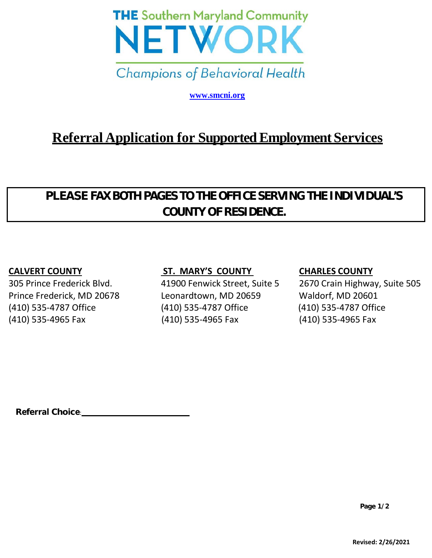

**[www.smcni.org](http://www.smcni.org/)**

# **Referral Application for SupportedEmployment Services**

## **PLEASE FAXBOTHPAGESTOTHEOFFICESERVING THEINDIVIDUAL'S COUNTY OF RESIDENCE.**

### **CALVERT COUNTY ST. MARY'S COUNTY CHARLES COUNTY**

Prince Frederick, MD 20678 Leonardtown, MD 20659 Waldorf, MD 20601 (410) 535-4787 Office (410) 535-4787 Office (410) 535-4787 Office (410) 535-4965 Fax (410) 535-4965 Fax (410) 535-4965 Fax

305 Prince Frederick Blvd. 41900 Fenwick Street, Suite 5 2670 Crain Highway, Suite 505

**Referral Choice**: